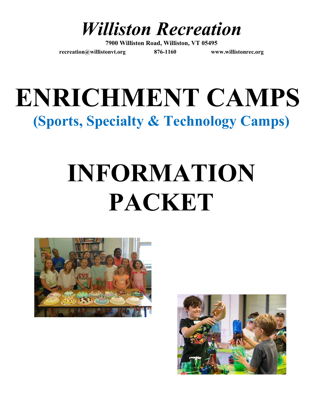

**7900 Williston Road, Williston, VT 05495**

**[recreation@willistonvt.org](mailto:recreation@willistonvt.org) 876-1160 www.willistonrec.org**

## **ENRICHMENT CAMPS (Sports, Specialty & Technology Camps)**

# **INFORMATION PACKET**



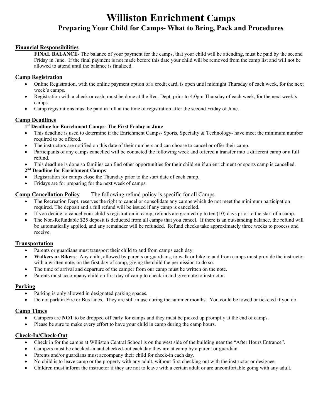### **Williston Enrichment Camps Preparing Your Child for Camps- What to Bring, Pack and Procedures**

#### **Financial Responsibilities**

**FINAL BALANCE**- The balance of your payment for the camps, that your child will be attending, must be paid by the second Friday in June. If the final payment is not made before this date your child will be removed from the camp list and will not be allowed to attend until the balance is finalized.

#### **Camp Registration**

- Online Registration, with the online payment option of a credit card, is open until midnight Thursday of each week, for the next week's camps.
- Registration with a check or cash, must be done at the Rec. Dept. prior to 4:0pm Thursday of each week, for the next week's camps.
- Camp registrations must be paid in full at the time of registration after the second Friday of June.

#### **Camp Deadlines**

#### **1st Deadline for Enrichment Camps- The First Friday in June**

- This deadline is used to determine if the Enrichment Camps- Sports, Specialty & Technology- have meet the minimum number required to be offered.
- The instructors are notified on this date of their numbers and can choose to cancel or offer their camp.
- Participants of any camps cancelled will be contacted the following week and offered a transfer into a different camp or a full refund.
- This deadline is done so families can find other opportunities for their children if an enrichment or sports camp is cancelled.

#### **2nd Deadline for Enrichment Camps**

- Registration for camps close the Thursday prior to the start date of each camp.
- Fridays are for preparing for the next week of camps.

#### **Camp Cancellation Policy** The following refund policy is specific for all Camps

- The Recreation Dept. reserves the right to cancel or consolidate any camps which do not meet the minimum participation required. The deposit and a full refund will be issued if any camp is cancelled.
- $\bullet$  If you decide to cancel your child's registration in camp, refunds are granted up to ten (10) days prior to the start of a camp.
- The Non-Refundable \$25 deposit is deducted from all camps that you cancel. If there is an outstanding balance, the refund will be automatically applied, and any remainder will be refunded. Refund checks take approximately three weeks to process and receive.

#### **Transportation**

- Parents or guardians must transport their child to and from camps each day.
- **Walkers or Bikers**: Any child, allowed by parents or guardians, to walk or bike to and from camps must provide the instructor with a written note, on the first day of camp, giving the child the permission to do so.
- The time of arrival and departure of the camper from our camp must be written on the note.
- Parents must accompany child on first day of camp to check-in and give note to instructor.

#### **Parking**

- Parking is only allowed in designated parking spaces.
- Do not park in Fire or Bus lanes. They are still in use during the summer months. You could be towed or ticketed if you do.

#### **Camp Times**

- Campers are **NOT** to be dropped off early for camps and they must be picked up promptly at the end of camps.
- Please be sure to make every effort to have your child in camp during the camp hours.

#### **Check-In/Check-Out**

- Check in for the camps at Williston Central School is on the west side of the building near the "After Hours Entrance".
- Campers must be checked-in and checked-out each day they are at camp by a parent or guardian.
- Parents and/or guardians must accompany their child for check-in each day.
- No child is to leave camp or the property with any adult, without first checking out with the instructor or designee.
- Children must inform the instructor if they are not to leave with a certain adult or are uncomfortable going with any adult.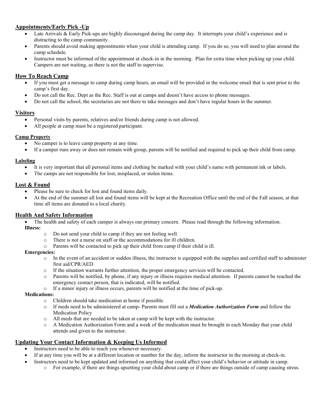#### **Appointments/Early Pick -Up**

- Late Arrivals & Early Pick-ups are highly discouraged during the camp day. It interrupts your child's experience and is distracting to the camp community.
- Parents should avoid making appointments when your child is attending camp. If you do so, you will need to plan around the camp schedule.
- Instructor must be informed of the appointment at check-in in the morning. Plan for extra time when picking up your child. Campers are not waiting, as there is not the staff to supervise.

#### **How To Reach Camp**

- If you must get a message to camp during camp hours, an email will be provided in the welcome email that is sent prior to the camp's first day.
- Do not call the Rec. Dept as the Rec. Staff is out at camps and doesn't have access to phone messages.
- Do not call the school, the secretaries are not there to take messages and don't have regular hours in the summer.

#### **Visitors**

- Personal visits by parents, relatives and/or friends during camp is not allowed.
- All people at camp must be a registered participant.

#### **Camp Property**

- No camper is to leave camp property at any time.
- If a camper runs away or does not remain with group, parents will be notified and required to pick up their child from camp.

#### **Labeling**

- It is very important that all personal items and clothing be marked with your child's name with permanent ink or labels.
- The camps are not responsible for lost, misplaced, or stolen items.

#### **Lost & Found**

- Please be sure to check for lost and found items daily.
- At the end of the summer all lost and found items will be kept at the Recreation Office until the end of the Fall season, at that time all items are donated to a local charity.

#### **Health And Safety Information**

- The health and safety of each camper is always our primary concern. Please read through the following information. **Illness:** 
	- o Do not send your child to camp if they are not feeling well.
	- o There is not a nurse on staff or the accommodations for ill children.
	- o Parents will be contacted to pick up their child from camp if their child is ill.

#### **Emergencies:**

- $\circ$  In the event of an accident or sudden illness, the instructor is equipped with the supplies and certified staff to administer first aid/CPR/AED.
- o If the situation warrants further attention, the proper emergency services will be contacted.
- o Parents will be notified, by phone, if any injury or illness requires medical attention. If parents cannot be reached the emergency contact person, that is indicated, will be notified.
- o If a minor injury or illness occurs, parents will be notified at the time of pick-up.

#### **Medications:**

- o Children should take medication at home if possible.
- o If meds need to be administered at camp- Parents must fill out a *Medication Authorization Form* and follow the Medication Policy
- o All meds that are needed to be taken at camp will be kept with the instructor.
- o A Medication Authorization Form and a week of the medication must be brought in each Monday that your child attends and given to the instructor.

#### **Updating Your Contact Information & Keeping Us Informed**

- Instructors need to be able to reach you whenever necessary.
- If at any time you will be at a different location or number for the day, inform the instructor in the morning at check-in.
- Instructors need to be kept updated and informed on anything that could affect your child's behavior or attitude in camp.
	- o For example, if there are things upsetting your child about camp or if there are things outside of camp causing stress.